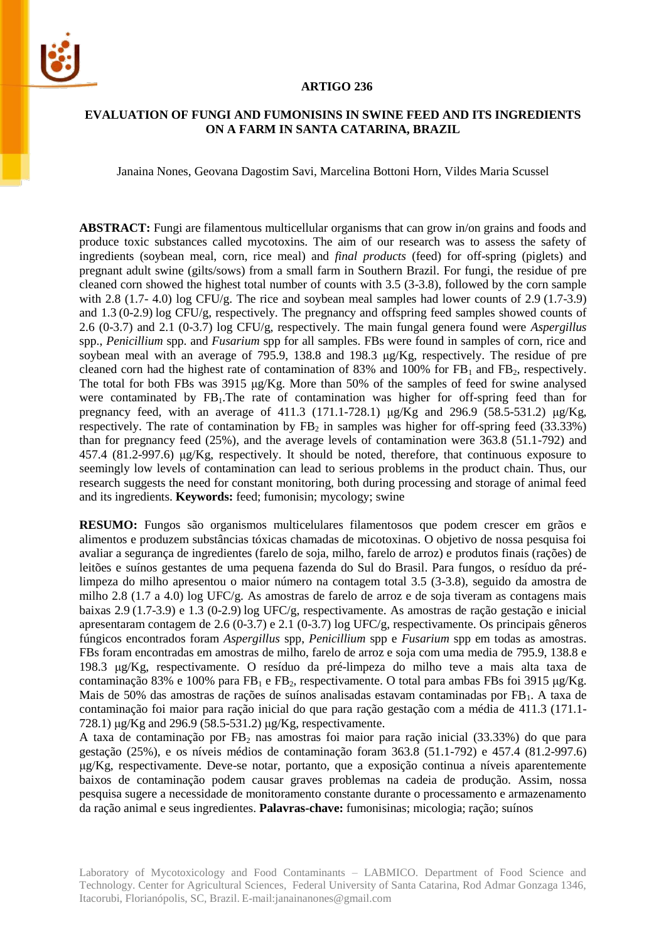

### **ARTIGO 236**

## **EVALUATION OF FUNGI AND FUMONISINS IN SWINE FEED AND ITS INGREDIENTS ON A FARM IN SANTA CATARINA, BRAZIL**

Janaina Nones, Geovana Dagostim Savi, Marcelina Bottoni Horn, Vildes Maria Scussel

**ABSTRACT:** Fungi are filamentous multicellular organisms that can grow in/on grains and foods and produce toxic substances called mycotoxins. The aim of our research was to assess the safety of ingredients (soybean meal, corn, rice meal) and *final products* (feed) for off-spring (piglets) and pregnant adult swine (gilts/sows) from a small farm in Southern Brazil. For fungi, the residue of pre cleaned corn showed the highest total number of counts with 3.5 (3-3.8), followed by the corn sample with 2.8 (1.7- 4.0) log CFU/g. The rice and soybean meal samples had lower counts of 2.9 (1.7-3.9) and 1.3 (0-2.9) log CFU/g, respectively. The pregnancy and offspring feed samples showed counts of 2.6 (0-3.7) and 2.1 (0-3.7) log CFU/g, respectively. The main fungal genera found were *Aspergillus* spp., *Penicillium* spp. and *Fusarium* spp for all samples. FBs were found in samples of corn, rice and soybean meal with an average of 795.9, 138.8 and 198.3 μg/Kg, respectively. The residue of pre cleaned corn had the highest rate of contamination of 83% and 100% for  $FB<sub>1</sub>$  and  $FB<sub>2</sub>$ , respectively. The total for both FBs was 3915 μg/Kg. More than 50% of the samples of feed for swine analysed were contaminated by  $FB_1$ . The rate of contamination was higher for off-spring feed than for pregnancy feed, with an average of 411.3 (171.1-728.1) μg/Kg and 296.9 (58.5-531.2) μg/Kg, respectively. The rate of contamination by  $FB<sub>2</sub>$  in samples was higher for off-spring feed (33.33%) than for pregnancy feed (25%), and the average levels of contamination were 363.8 (51.1-792) and 457.4 (81.2-997.6) μg/Kg, respectively. It should be noted, therefore, that continuous exposure to seemingly low levels of contamination can lead to serious problems in the product chain. Thus, our research suggests the need for constant monitoring, both during processing and storage of animal feed and its ingredients. **Keywords:** feed; fumonisin; mycology; swine

**RESUMO:** Fungos são organismos multicelulares filamentosos que podem crescer em grãos e alimentos e produzem substâncias tóxicas chamadas de micotoxinas. O objetivo de nossa pesquisa foi avaliar a segurança de ingredientes (farelo de soja, milho, farelo de arroz) e produtos finais (rações) de leitões e suínos gestantes de uma pequena fazenda do Sul do Brasil. Para fungos, o resíduo da prélimpeza do milho apresentou o maior número na contagem total 3.5 (3-3.8), seguido da amostra de milho 2.8 (1.7 a 4.0) log UFC/g. As amostras de farelo de arroz e de soja tiveram as contagens mais baixas 2.9 (1.7-3.9) e 1.3 (0-2.9) log UFC/g, respectivamente. As amostras de ração gestação e inicial apresentaram contagem de 2.6 (0-3.7) e 2.1 (0-3.7) log UFC/g, respectivamente. Os principais gêneros fúngicos encontrados foram *Aspergillus* spp, *Penicillium* spp e *Fusarium* spp em todas as amostras. FBs foram encontradas em amostras de milho, farelo de arroz e soja com uma media de 795.9, 138.8 e 198.3 μg/Kg, respectivamente. O resíduo da pré-limpeza do milho teve a mais alta taxa de contaminação 83% e 100% para FB<sub>1</sub> e FB<sub>2</sub>, respectivamente. O total para ambas FBs foi 3915 μg/Kg. Mais de 50% das amostras de rações de suínos analisadas estavam contaminadas por FB<sub>1</sub>. A taxa de contaminação foi maior para ração inicial do que para ração gestação com a média de 411.3 (171.1- 728.1) μg/Kg and 296.9 (58.5-531.2) μg/Kg, respectivamente.

A taxa de contaminação por FB<sup>2</sup> nas amostras foi maior para ração inicial (33.33%) do que para gestação (25%), e os níveis médios de contaminação foram 363.8 (51.1-792) e 457.4 (81.2-997.6) μg/Kg, respectivamente. Deve-se notar, portanto, que a exposição continua a níveis aparentemente baixos de contaminação podem causar graves problemas na cadeia de produção. Assim, nossa pesquisa sugere a necessidade de monitoramento constante durante o processamento e armazenamento da ração animal e seus ingredientes. **Palavras-chave:** fumonisinas; micologia; ração; suínos

Laboratory of Mycotoxicology and Food Contaminants – LABMICO. Department of Food Science and Technology. Center for Agricultural Sciences, Federal University of Santa Catarina, Rod Admar Gonzaga 1346, Itacorubi, Florianópolis, SC, Brazil. E-mail:janainanones@gmail.com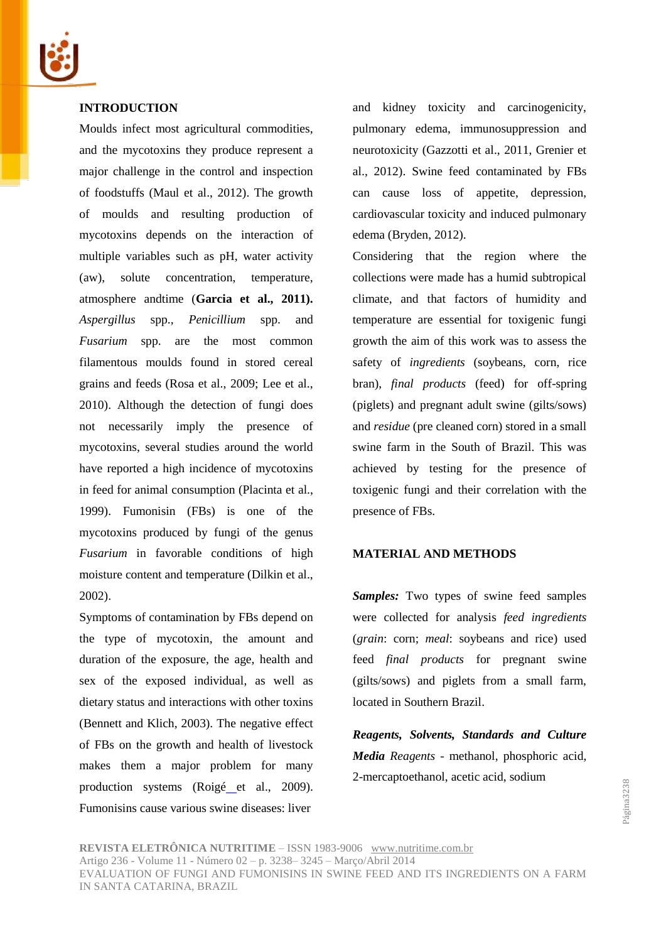

## **INTRODUCTION**

Moulds infect most agricultural commodities, and the mycotoxins they produce represent a major challenge in the control and inspection of foodstuffs (Maul et al., 2012). The growth of moulds and resulting production of mycotoxins depends on the interaction of multiple variables such as pH, water activity (aw), solute concentration, temperature, atmosphere andtime (**Garcia et al., 2011).** *Aspergillus* spp., *Penicillium* spp. and *Fusarium* spp. are the most common filamentous moulds found in stored cereal grains and feeds (Rosa et al., 2009; Lee et al., 2010). Although the detection of fungi does not necessarily imply the presence of mycotoxins, several studies around the world have reported a high incidence of mycotoxins in feed for animal consumption (Placinta et al., 1999). Fumonisin (FBs) is one of the mycotoxins produced by fungi of the genus *Fusarium* in favorable conditions of high moisture content and temperature (Dilkin et al., 2002).

Symptoms of contamination by FBs depend on the type of mycotoxin, the amount and duration of the exposure, the age, health and sex of the exposed individual, as well as dietary status and interactions with other toxins (Bennett and Klich, 2003). The negative effect of FBs on the growth and health of livestock makes them a major problem for many production systems (Roigé et al., 2009). Fumonisins cause various swine diseases: liver

and kidney toxicity and carcinogenicity, pulmonary edema, immunosuppression and neurotoxicity (Gazzotti et al., 2011, Grenier et al., 2012). Swine feed contaminated by FBs can cause loss of appetite, depression, cardiovascular toxicity and induced pulmonary edema (Bryden, 2012).

Considering that the region where the collections were made has a humid subtropical climate, and that factors of humidity and temperature are essential for toxigenic fungi growth the aim of this work was to assess the safety of *ingredients* (soybeans, corn, rice bran), *final products* (feed) for off-spring (piglets) and pregnant adult swine (gilts/sows) and *residue* (pre cleaned corn) stored in a small swine farm in the South of Brazil. This was achieved by testing for the presence of toxigenic fungi and their correlation with the presence of FBs.

#### **MATERIAL AND METHODS**

*Samples:* Two types of swine feed samples were collected for analysis *feed ingredients* (*grain*: corn; *meal*: soybeans and rice) used feed *final products* for pregnant swine (gilts/sows) and piglets from a small farm, located in Southern Brazil.

*Reagents, Solvents, Standards and Culture Media Reagents* - methanol, phosphoric acid, 2-mercaptoethanol, acetic acid, sodium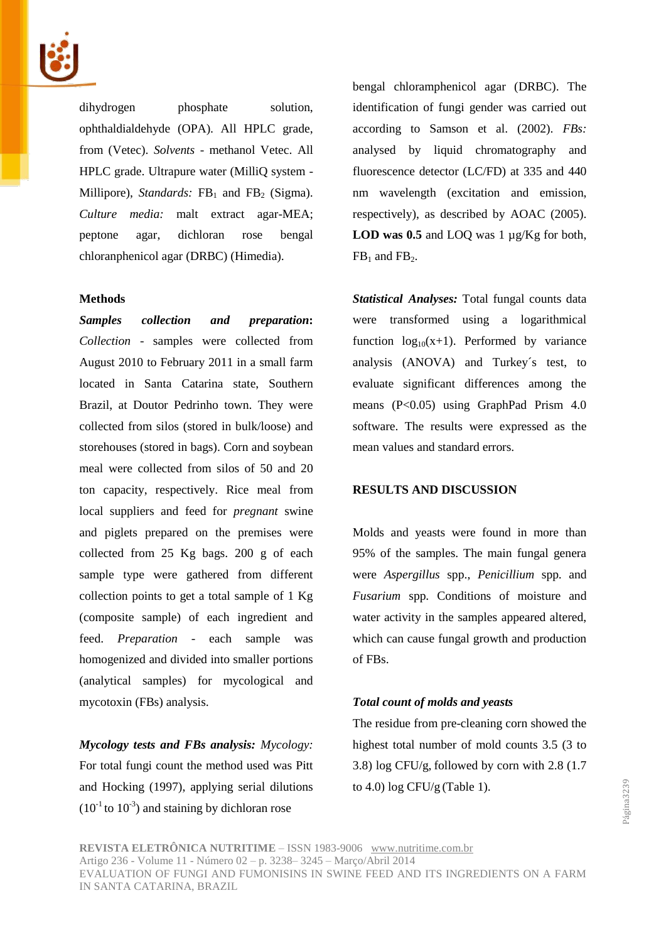

dihydrogen phosphate solution, ophthaldialdehyde (OPA). All HPLC grade, from (Vetec). *Solvents* - methanol Vetec. All HPLC grade. Ultrapure water (MilliQ system - Millipore), *Standards:*  $FB<sub>1</sub>$  and  $FB<sub>2</sub>$  (Sigma). *Culture media:* malt extract agar-MEA; peptone agar, dichloran rose bengal chloranphenicol agar (DRBC) (Himedia).

#### **Methods**

*Samples collection and preparation***:** *Collection* - samples were collected from August 2010 to February 2011 in a small farm located in Santa Catarina state, Southern Brazil, at Doutor Pedrinho town. They were collected from silos (stored in bulk/loose) and storehouses (stored in bags). Corn and soybean meal were collected from silos of 50 and 20 ton capacity, respectively. Rice meal from local suppliers and feed for *pregnant* swine and piglets prepared on the premises were collected from 25 Kg bags. 200 g of each sample type were gathered from different collection points to get a total sample of  $1 \text{ Kg}$ (composite sample) of each ingredient and feed. *Preparation* - each sample was homogenized and divided into smaller portions (analytical samples) for mycological and mycotoxin (FBs) analysis.

*Mycology tests and FBs analysis: Mycology:* For total fungi count the method used was Pitt and Hocking (1997), applying serial dilutions  $(10^{-1}$  to  $10^{-3})$  and staining by dichloran rose

bengal chloramphenicol agar (DRBC). The identification of fungi gender was carried out according to Samson et al. (2002). *FBs:*  analysed by liquid chromatography and fluorescence detector (LC/FD) at 335 and 440 nm wavelength (excitation and emission, respectively), as described by AOAC (2005). LOD was 0.5 and LOQ was 1  $\mu$ g/Kg for both,  $FB<sub>1</sub>$  and  $FB<sub>2</sub>$ .

*Statistical Analyses:* Total fungal counts data were transformed using a logarithmical function  $log_{10}(x+1)$ . Performed by variance analysis (ANOVA) and Turkey´s test, to evaluate significant differences among the means (P<0.05) using GraphPad Prism 4.0 software. The results were expressed as the mean values and standard errors.

## **RESULTS AND DISCUSSION**

Molds and yeasts were found in more than 95% of the samples. The main fungal genera were *Aspergillus* spp., *Penicillium* spp. and *Fusarium* spp. Conditions of moisture and water activity in the samples appeared altered, which can cause fungal growth and production of FBs.

#### *Total count of molds and yeasts*

The residue from pre-cleaning corn showed the highest total number of mold counts 3.5 (3 to 3.8) log CFU/g, followed by corn with 2.8 (1.7 to 4.0)  $\log$  CFU/g (Table 1).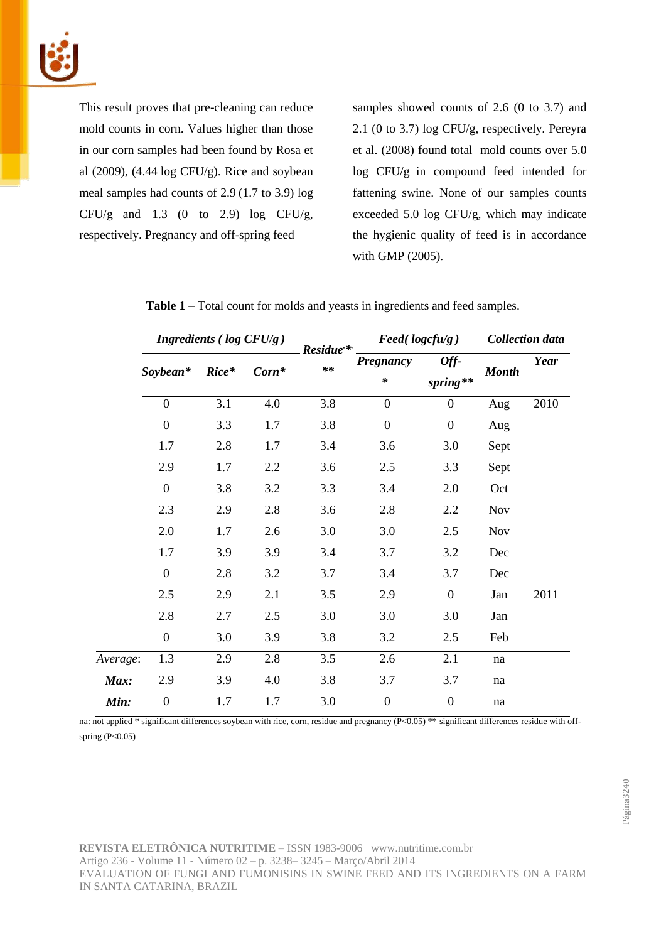

This result proves that pre-cleaning can reduce mold counts in corn. Values higher than those in our corn samples had been found by Rosa et al  $(2009)$ ,  $(4.44 \log CFU/g)$ . Rice and soybean meal samples had counts of 2.9 (1.7 to 3.9) log CFU/g and  $1.3$  (0 to 2.9) log CFU/g, respectively. Pregnancy and off-spring feed

samples showed counts of 2.6 (0 to 3.7) and 2.1 (0 to 3.7) log CFU/g, respectively. Pereyra et al. (2008) found total mold counts over 5.0 log CFU/g in compound feed intended for fattening swine. None of our samples counts exceeded 5.0 log CFU/g, which may indicate the hygienic quality of feed is in accordance with GMP (2005).

|          |                  | Ingredients ( $log CFU/g$ ) |         | Residue <sup>*</sup><br>$**$ | $\textit{Feed}(\textit{logcfu/g})$ |                    | <b>Collection</b> data |      |
|----------|------------------|-----------------------------|---------|------------------------------|------------------------------------|--------------------|------------------------|------|
|          | Soybean*         | $Rice*$                     | $Corn*$ |                              | Pregnancy<br>$\ast$                | Off-<br>$spring**$ | <b>Month</b>           | Year |
|          | $\boldsymbol{0}$ | 3.1                         | 4.0     | 3.8                          | $\overline{0}$                     | $\boldsymbol{0}$   | Aug                    | 2010 |
|          | $\boldsymbol{0}$ | 3.3                         | 1.7     | 3.8                          | $\boldsymbol{0}$                   | $\boldsymbol{0}$   | Aug                    |      |
|          | 1.7              | 2.8                         | 1.7     | 3.4                          | 3.6                                | 3.0                | Sept                   |      |
|          | 2.9              | 1.7                         | 2.2     | 3.6                          | 2.5                                | 3.3                | Sept                   |      |
|          | $\overline{0}$   | 3.8                         | 3.2     | 3.3                          | 3.4                                | 2.0                | Oct                    |      |
|          | 2.3              | 2.9                         | 2.8     | 3.6                          | 2.8                                | 2.2                | <b>Nov</b>             |      |
|          | 2.0              | 1.7                         | 2.6     | 3.0                          | 3.0                                | 2.5                | <b>Nov</b>             |      |
|          | 1.7              | 3.9                         | 3.9     | 3.4                          | 3.7                                | 3.2                | Dec                    |      |
|          | $\boldsymbol{0}$ | 2.8                         | 3.2     | 3.7                          | 3.4                                | 3.7                | Dec                    |      |
|          | 2.5              | 2.9                         | 2.1     | 3.5                          | 2.9                                | $\boldsymbol{0}$   | Jan                    | 2011 |
|          | 2.8              | 2.7                         | 2.5     | 3.0                          | 3.0                                | 3.0                | Jan                    |      |
|          | $\boldsymbol{0}$ | 3.0                         | 3.9     | 3.8                          | 3.2                                | 2.5                | Feb                    |      |
| Average: | 1.3              | 2.9                         | 2.8     | 3.5                          | 2.6                                | 2.1                | na                     |      |
| Max:     | 2.9              | 3.9                         | 4.0     | 3.8                          | 3.7                                | 3.7                | na                     |      |
| Min:     | $\mathbf{0}$     | 1.7                         | 1.7     | 3.0                          | $\boldsymbol{0}$                   | $\boldsymbol{0}$   | na                     |      |

| Table 1 – Total count for molds and yeasts in ingredients and feed samples. |  |  |  |  |
|-----------------------------------------------------------------------------|--|--|--|--|
|-----------------------------------------------------------------------------|--|--|--|--|

na: not applied \* significant differences soybean with rice, corn, residue and pregnancy (P<0.05) \*\* significant differences residue with offspring (P<0.05)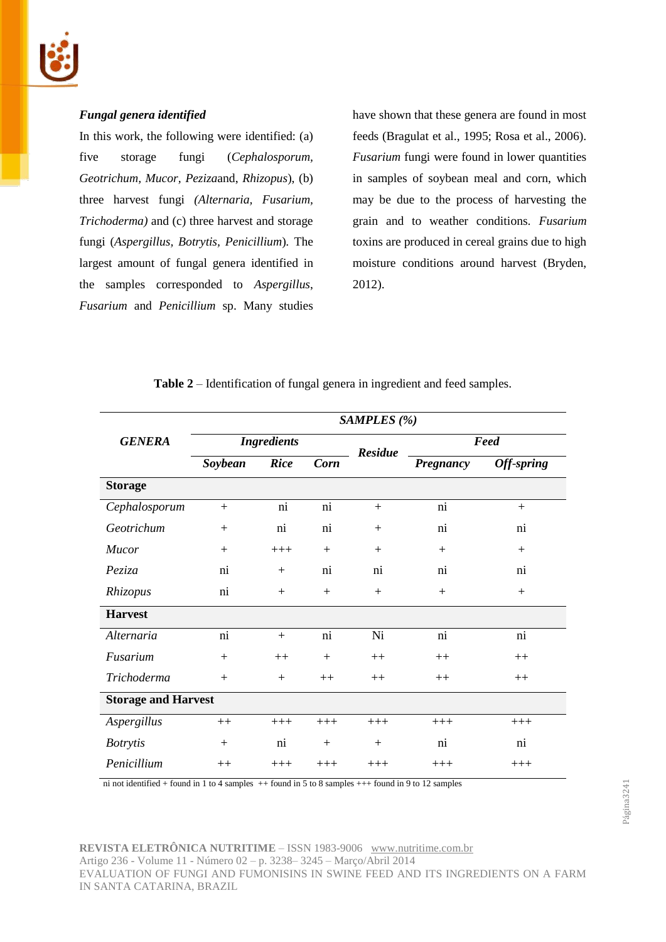

# *Fungal genera identified*

In this work, the following were identified: (a) five storage fungi (*Cephalosporum, Geotrichum, Mucor, Peziza*and, *Rhizopus*), (b) three harvest fungi *(Alternaria, Fusarium, Trichoderma)* and (c) three harvest and storage fungi (*Aspergillus, Botrytis, Penicillium*)*.* The largest amount of fungal genera identified in the samples corresponded to *Aspergillus*, *Fusarium* and *Penicillium* sp. Many studies have shown that these genera are found in most feeds (Bragulat et al., 1995; Rosa et al., 2006). *Fusarium* fungi were found in lower quantities in samples of soybean meal and corn, which may be due to the process of harvesting the grain and to weather conditions. *Fusarium* toxins are produced in cereal grains due to high moisture conditions around harvest (Bryden, 2012).

|                            | SAMPLES (%)        |             |             |                |                 |            |  |  |
|----------------------------|--------------------|-------------|-------------|----------------|-----------------|------------|--|--|
| <b>GENERA</b>              | <b>Ingredients</b> |             |             | <b>Residue</b> | Feed            |            |  |  |
|                            | Soybean            | <b>Rice</b> | <b>Corn</b> |                | Pregnancy       | Off-spring |  |  |
| <b>Storage</b>             |                    |             |             |                |                 |            |  |  |
| Cephalosporum              | $+$                | ni          | ni          | $+$            | ni              | $+$        |  |  |
| Geotrichum                 | $+$                | ni          | ni          | $+$            | ni              | ni         |  |  |
| Mucor                      | $+$                | $+++$       | $+$         | $+$            | $+$             | $+$        |  |  |
| Peziza                     | ni                 | $+$         | ni          | ni             | ni              | ni         |  |  |
| Rhizopus                   | ni                 | $+$         | $+$         | $^{+}$         | $+$             | $+$        |  |  |
| <b>Harvest</b>             |                    |             |             |                |                 |            |  |  |
| Alternaria                 | ni                 | $+$         | ni          | Ni             | $\overline{ni}$ | ni         |  |  |
| Fusarium                   | $+$                | $++$        | $+$         | $++$           | $++$            | $++$       |  |  |
| Trichoderma                | $+$                | $+$         | $++$        | $++$           | $++$            | $++$       |  |  |
| <b>Storage and Harvest</b> |                    |             |             |                |                 |            |  |  |
| Aspergillus                | $++$               | $+++$       | $+++$       | $+++$          | $+++$           | $+++$      |  |  |
| <b>Botrytis</b>            | $+$                | ni          | $+$         | $+$            | $\overline{ni}$ | ni         |  |  |
| Penicillium                | $++$               | $+++$       | $+++$       | $+++$          | $+++$           | $+++$      |  |  |

**Table 2** – Identification of fungal genera in ingredient and feed samples.

ni not identified + found in 1 to 4 samples  $++$  found in 5 to 8 samples  $+++$  found in 9 to 12 samples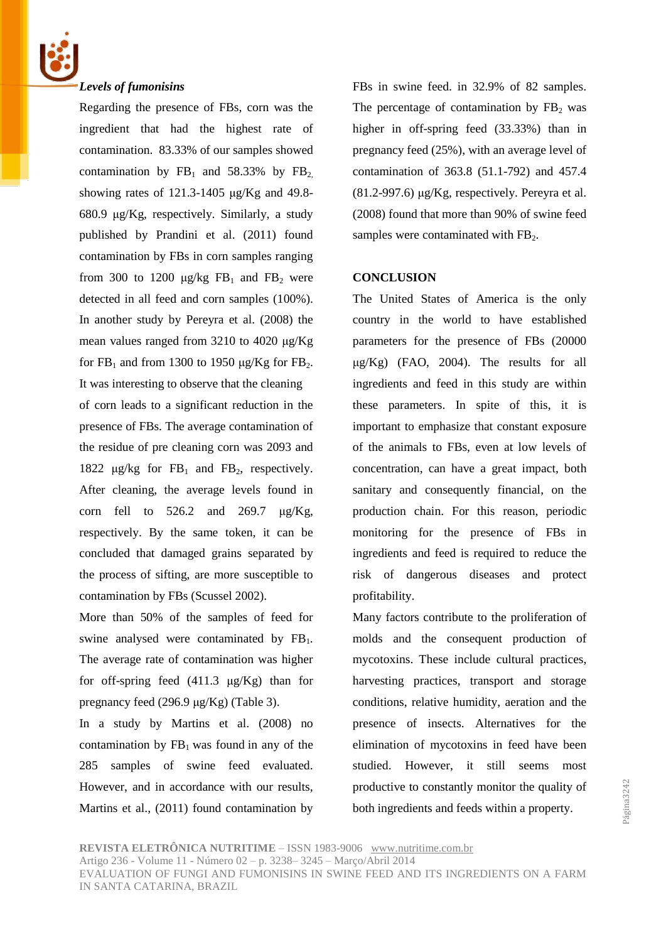

## *Levels of fumonisins*

Regarding the presence of FBs, corn was the ingredient that had the highest rate of contamination. 83.33% of our samples showed contamination by  $FB_1$  and 58.33% by  $FB_2$ . showing rates of 121.3-1405 μg/Kg and 49.8- 680.9 μg/Kg, respectively. Similarly, a study published by Prandini et al. (2011) found contamination by FBs in corn samples ranging from 300 to 1200  $\mu$ g/kg FB<sub>1</sub> and FB<sub>2</sub> were detected in all feed and corn samples (100%). In another study by Pereyra et al. (2008) the mean values ranged from 3210 to 4020 μg/Kg for  $FB_1$  and from 1300 to 1950 μg/Kg for  $FB_2$ . It was interesting to observe that the cleaning of corn leads to a significant reduction in the presence of FBs. The average contamination of the residue of pre cleaning corn was 2093 and 1822  $\mu$ g/kg for FB<sub>1</sub> and FB<sub>2</sub>, respectively. After cleaning, the average levels found in corn fell to  $526.2$  and  $269.7$  μg/Kg, respectively. By the same token, it can be concluded that damaged grains separated by the process of sifting, are more susceptible to contamination by FBs (Scussel 2002).

More than 50% of the samples of feed for swine analysed were contaminated by  $FB<sub>1</sub>$ . The average rate of contamination was higher for off-spring feed  $(411.3 \mu g/Kg)$  than for pregnancy feed (296.9 μg/Kg) (Table 3).

In a study by Martins et al. (2008) no contamination by  $FB<sub>1</sub>$  was found in any of the 285 samples of swine feed evaluated. However, and in accordance with our results, Martins et al., (2011) found contamination by FBs in swine feed. in 32.9% of 82 samples. The percentage of contamination by  $FB<sub>2</sub>$  was higher in off-spring feed (33.33%) than in pregnancy feed (25%), with an average level of contamination of 363.8 (51.1-792) and 457.4  $(81.2-997.6) \mu g/Kg$ , respectively. Pereyra et al. (2008) found that more than 90% of swine feed samples were contaminated with  $FB<sub>2</sub>$ .

## **CONCLUSION**

The United States of America is the only country in the world to have established parameters for the presence of FBs (20000  $\mu$ g/Kg) (FAO, 2004). The results for all ingredients and feed in this study are within these parameters. In spite of this, it is important to emphasize that constant exposure of the animals to FBs, even at low levels of concentration, can have a great impact, both sanitary and consequently financial, on the production chain. For this reason, periodic monitoring for the presence of FBs in ingredients and feed is required to reduce the risk of dangerous diseases and protect profitability.

Many factors contribute to the proliferation of molds and the consequent production of mycotoxins. These include cultural practices, harvesting practices, transport and storage conditions, relative humidity, aeration and the presence of insects. Alternatives for the elimination of mycotoxins in feed have been studied. However, it still seems most productive to constantly monitor the quality of both ingredients and feeds within a property.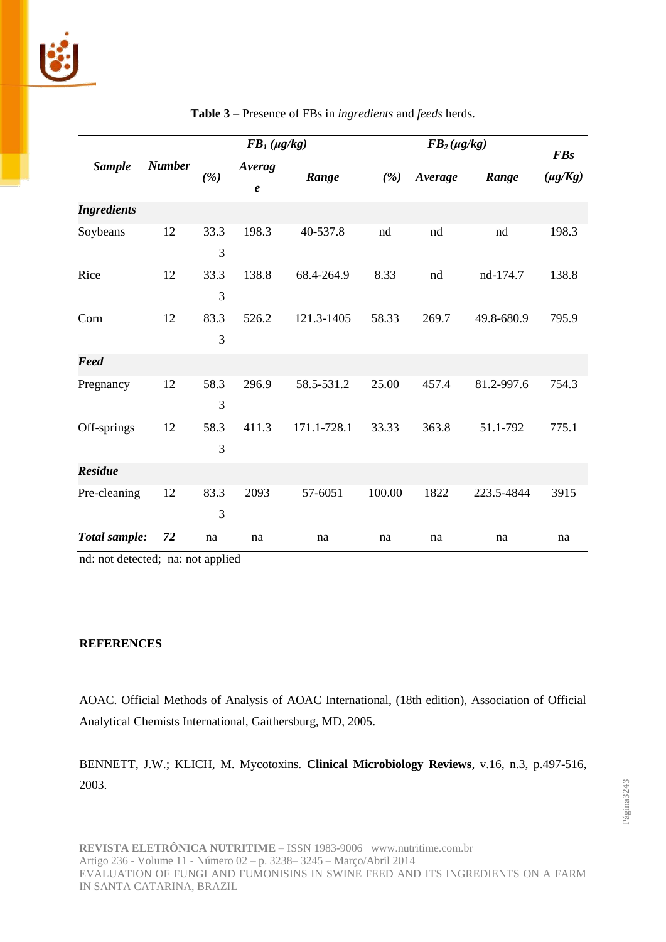|                    | <b>Number</b> | $FB1 (\mu g/kg)$ |                     |             | $FB_2(\mu g/kg)$ |         |            | <b>FBs</b>   |
|--------------------|---------------|------------------|---------------------|-------------|------------------|---------|------------|--------------|
| <b>Sample</b>      |               | (%)              | Averag<br>$\pmb{e}$ | Range       | (%)              | Average | Range      | $(\mu g/Kg)$ |
| <b>Ingredients</b> |               |                  |                     |             |                  |         |            |              |
| Soybeans           | 12            | 33.3             | 198.3               | 40-537.8    | nd               | nd      | nd         | 198.3        |
|                    |               | 3                |                     |             |                  |         |            |              |
| Rice               | 12            | 33.3             | 138.8               | 68.4-264.9  | 8.33             | nd      | nd-174.7   | 138.8        |
|                    |               | 3                |                     |             |                  |         |            |              |
| Corn               | 12            | 83.3             | 526.2               | 121.3-1405  | 58.33            | 269.7   | 49.8-680.9 | 795.9        |
|                    |               | 3                |                     |             |                  |         |            |              |
| Feed               |               |                  |                     |             |                  |         |            |              |
| Pregnancy          | 12            | 58.3             | 296.9               | 58.5-531.2  | 25.00            | 457.4   | 81.2-997.6 | 754.3        |
|                    |               | 3                |                     |             |                  |         |            |              |
| Off-springs        | 12            | 58.3             | 411.3               | 171.1-728.1 | 33.33            | 363.8   | 51.1-792   | 775.1        |
|                    |               | 3                |                     |             |                  |         |            |              |
| <b>Residue</b>     |               |                  |                     |             |                  |         |            |              |
| Pre-cleaning       | 12            | 83.3             | 2093                | 57-6051     | 100.00           | 1822    | 223.5-4844 | 3915         |
|                    |               | 3                |                     |             |                  |         |            |              |
| Total sample:      | 72            | na               | na                  | na          | na               | na      | na         | na           |

**Table 3** – Presence of FBs in *ingredients* and *feeds* herds.

nd: not detected; na: not applied

## **REFERENCES**

AOAC. Official Methods of Analysis of AOAC International, (18th edition), Association of Official Analytical Chemists International, Gaithersburg, MD, 2005.

BENNETT, J.W.; KLICH, M. Mycotoxins. **Clinical Microbiology Reviews***,* v.16, n.3, p.497-516, 2003.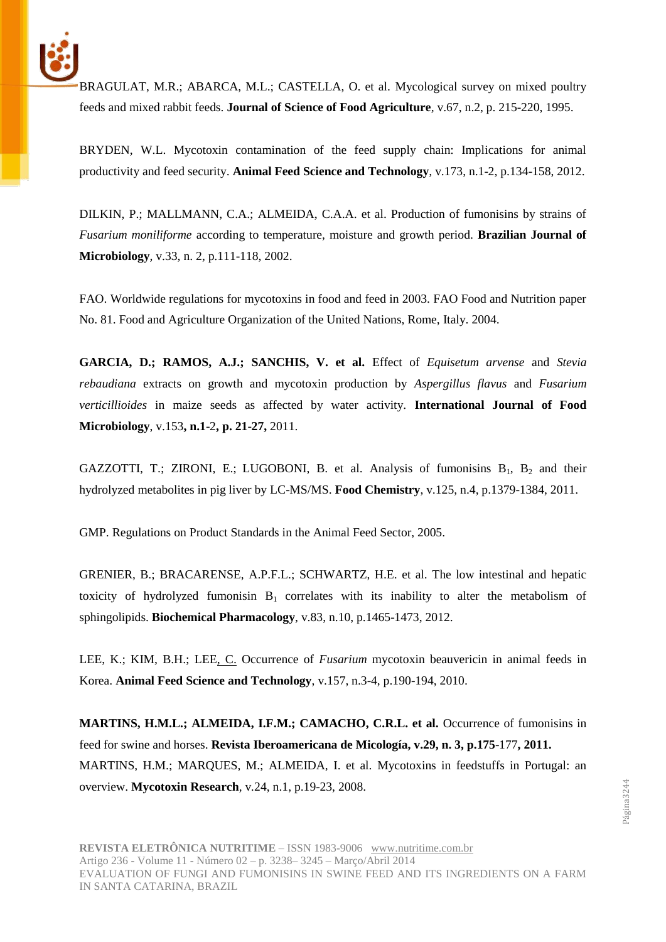

BRAGULAT, M.R.; ABARCA, M.L.; CASTELLA, O. et al. Mycological survey on mixed poultry feeds and mixed rabbit feeds. **Journal of Science of Food Agriculture***,* v.67, n.2, p. 215-220, 1995.

BRYDEN, W.L. Mycotoxin contamination of the feed supply chain: Implications for animal productivity and feed security. **Animal Feed Science and Technology***,* v.173, n.1-2, p.134-158, 2012.

DILKIN, P.; MALLMANN, C.A.; ALMEIDA, C.A.A. et al. Production of fumonisins by strains of *Fusarium moniliforme* according to temperature, moisture and growth period. **Brazilian Journal of Microbiology***,* v.33, n. 2, p.111-118, 2002.

FAO. Worldwide regulations for mycotoxins in food and feed in 2003. FAO Food and Nutrition paper No. 81. Food and Agriculture Organization of the United Nations, Rome, Italy. 2004.

**GARCIA, D.; RAMOS, A.J.; SANCHIS, V. et al.** Effect of *Equisetum arvense* and *Stevia rebaudiana* extracts on growth and mycotoxin production by *Aspergillus flavus* and *Fusarium verticillioides* in maize seeds as affected by water activity. **International Journal of Food Microbiology**, v.153**, n.1**-2**, p. 21**-**27,** 2011.

GAZZOTTI, T.; ZIRONI, E.; LUGOBONI, B. et al. Analysis of fumonisins  $B_1$ ,  $B_2$  and their hydrolyzed metabolites in pig liver by LC-MS/MS. **Food Chemistry**, v.125, n.4, p.1379-1384, 2011.

GMP. Regulations on Product Standards in the Animal Feed Sector, 2005.

GRENIER, B.; BRACARENSE, A.P.F.L.; SCHWARTZ, H.E. et al. The low intestinal and hepatic toxicity of hydrolyzed fumonisin  $B_1$  correlates with its inability to alter the metabolism of sphingolipids. **Biochemical Pharmacology**, v.83, n.10, p.1465-1473, 2012.

LEE, K.; KIM, B.H.; LEE, C. Occurrence of *Fusarium* mycotoxin beauvericin in animal feeds in Korea. **Animal Feed Science and Technology**, v.157, n.3-4, p.190-194, 2010.

**MARTINS, H.M.L.; ALMEIDA, I.F.M.; CAMACHO, C.R.L. et al. Occurrence of fumonisins in** feed for swine and horses. **Revista Iberoamericana de Micología, v.29, n. 3, p.175**-177**, 2011.** MARTINS, H.M.; MARQUES, M.; ALMEIDA, I. et al. Mycotoxins in feedstuffs in Portugal: an overview. **Mycotoxin Research***,* v*.*24, n.1, p.19-23, 2008.